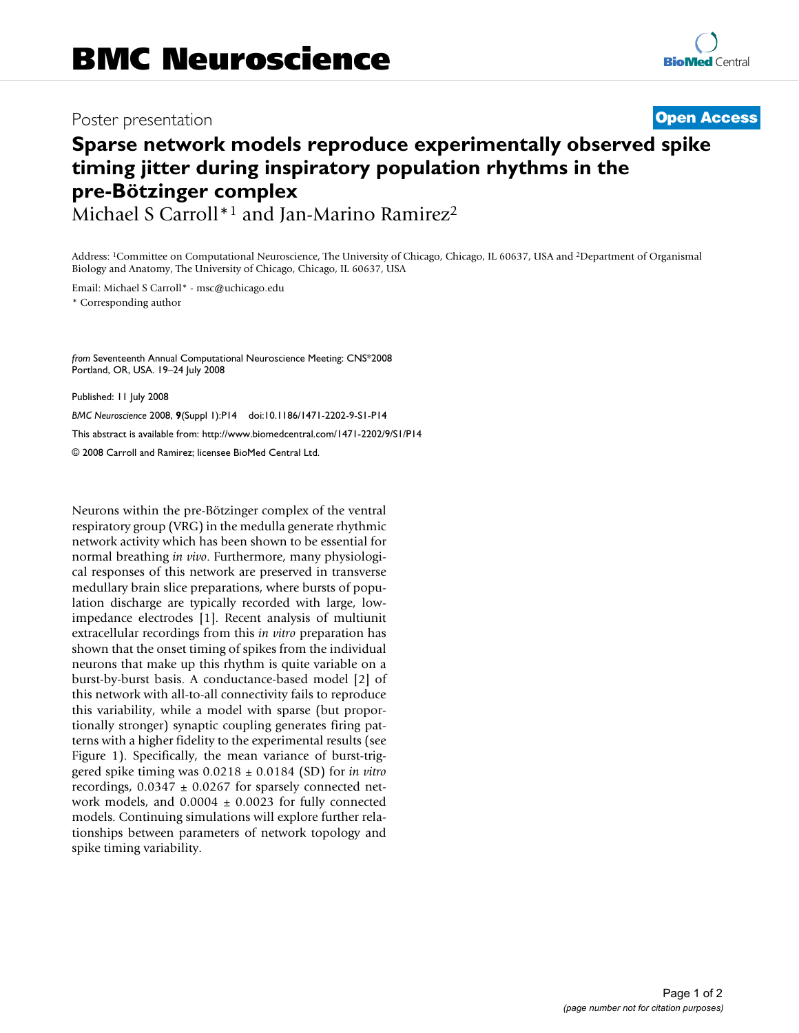## Poster presentation **Contract Contract Contract Contract Contract Contract Contract Contract Contract Contract Contract Contract Contract Contract Contract Contract Contract Contract Contract Contract Contract Contract Con**

# **Sparse network models reproduce experimentally observed spike timing jitter during inspiratory population rhythms in the pre-Bötzinger complex**

Michael S Carroll\*1 and Jan-Marino Ramirez2

Address: 1Committee on Computational Neuroscience, The University of Chicago, Chicago, IL 60637, USA and 2Department of Organismal Biology and Anatomy, The University of Chicago, Chicago, IL 60637, USA

Email: Michael S Carroll\* - msc@uchicago.edu

\* Corresponding author

*from* Seventeenth Annual Computational Neuroscience Meeting: CNS\*2008 Portland, OR, USA. 19–24 July 2008

Published: 11 July 2008 *BMC Neuroscience* 2008, **9**(Suppl 1):P14 doi:10.1186/1471-2202-9-S1-P14 [This abstract is available from: http://www.biomedcentral.com/1471-2202/9/S1/P14](http://www.biomedcentral.com/1471-2202/9/S1/P14) © 2008 Carroll and Ramirez; licensee BioMed Central Ltd.

Neurons within the pre-Bötzinger complex of the ventral respiratory group (VRG) in the medulla generate rhythmic network activity which has been shown to be essential for normal breathing *in vivo*. Furthermore, many physiological responses of this network are preserved in transverse medullary brain slice preparations, where bursts of population discharge are typically recorded with large, lowimpedance electrodes [1]. Recent analysis of multiunit extracellular recordings from this *in vitro* preparation has shown that the onset timing of spikes from the individual neurons that make up this rhythm is quite variable on a burst-by-burst basis. A conductance-based model [2] of this network with all-to-all connectivity fails to reproduce this variability, while a model with sparse (but proportionally stronger) synaptic coupling generates firing patterns with a higher fidelity to the experimental results (see Figure 1). Specifically, the mean variance of burst-triggered spike timing was 0.0218 ± 0.0184 (SD) for *in vitro* recordings,  $0.0347 \pm 0.0267$  for sparsely connected network models, and  $0.0004 \pm 0.0023$  for fully connected models. Continuing simulations will explore further relationships between parameters of network topology and spike timing variability.